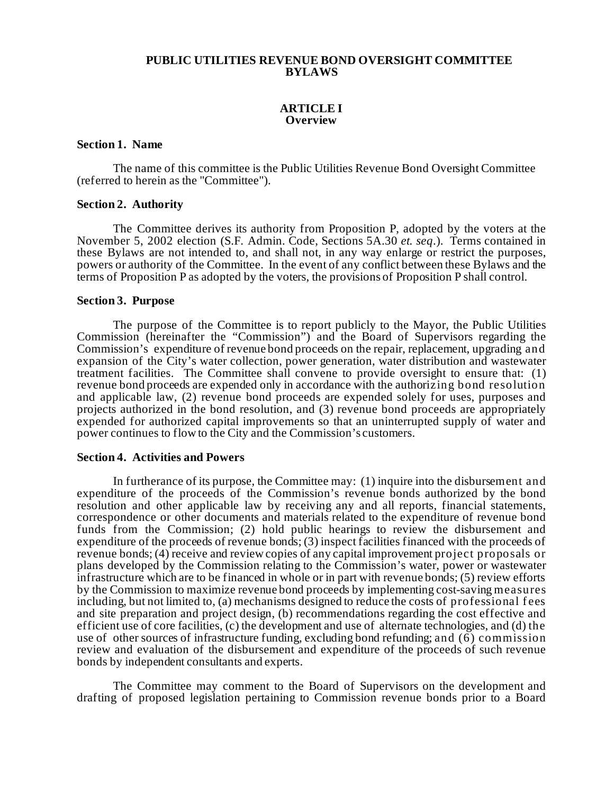# **PUBLIC UTILITIES REVENUE BOND OVERSIGHT COMMITTEE BYLAWS**

# **ARTICLE I Overview**

### **Section 1. Name**

The name of this committee is the Public Utilities Revenue Bond Oversight Committee (referred to herein as the "Committee").

### **Section 2. Authority**

The Committee derives its authority from Proposition P, adopted by the voters at the November 5, 2002 election (S.F. Admin. Code, Sections 5A.30 *et. seq*.). Terms contained in these Bylaws are not intended to, and shall not, in any way enlarge or restrict the purposes, powers or authority of the Committee. In the event of any conflict between these Bylaws and the terms of Proposition P as adopted by the voters, the provisions of Proposition P shall control.

#### **Section 3. Purpose**

The purpose of the Committee is to report publicly to the Mayor, the Public Utilities Commission (hereinafter the "Commission") and the Board of Supervisors regarding the Commission's expenditure of revenue bond proceeds on the repair, replacement, upgrading and expansion of the City's water collection, power generation, water distribution and wastewater treatment facilities. The Committee shall convene to provide oversight to ensure that: (1) revenue bond proceeds are expended only in accordance with the authorizing bond resolution and applicable law, (2) revenue bond proceeds are expended solely for uses, purposes and projects authorized in the bond resolution, and (3) revenue bond proceeds are appropriately expended for authorized capital improvements so that an uninterrupted supply of water and power continues to flow to the City and the Commission's customers.

### **Section 4. Activities and Powers**

In furtherance of its purpose, the Committee may: (1) inquire into the disbursement and expenditure of the proceeds of the Commission's revenue bonds authorized by the bond resolution and other applicable law by receiving any and all reports, financial statements, correspondence or other documents and materials related to the expenditure of revenue bond funds from the Commission; (2) hold public hearings to review the disbursement and expenditure of the proceeds of revenue bonds; (3) inspect facilities financed with the proceeds of revenue bonds; (4) receive and review copies of any capital improvement project proposals or plans developed by the Commission relating to the Commission's water, power or wastewater infrastructure which are to be financed in whole or in part with revenue bonds; (5) review efforts by the Commission to maximize revenue bond proceeds by implementing cost-saving measures including, but not limited to, (a) mechanisms designed to reduce the costs of professional f ees and site preparation and project design, (b) recommendations regarding the cost effective and efficient use of core facilities, (c) the development and use of alternate technologies, and (d) the use of other sources of infrastructure funding, excluding bond refunding; and (6) commission review and evaluation of the disbursement and expenditure of the proceeds of such revenue bonds by independent consultants and experts.

The Committee may comment to the Board of Supervisors on the development and drafting of proposed legislation pertaining to Commission revenue bonds prior to a Board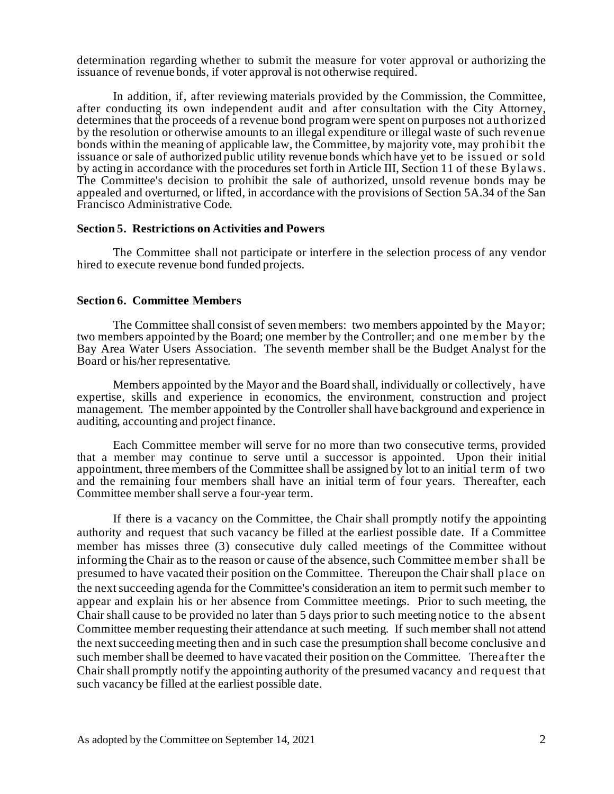determination regarding whether to submit the measure for voter approval or authorizing the issuance of revenue bonds, if voter approval is not otherwise required.

In addition, if, after reviewing materials provided by the Commission, the Committee, after conducting its own independent audit and after consultation with the City Attorney, determines that the proceeds of a revenue bond program were spent on purposes not authorized by the resolution or otherwise amounts to an illegal expenditure or illegal waste of such revenue bonds within the meaning of applicable law, the Committee, by majority vote, may prohibit the issuance or sale of authorized public utility revenue bonds which have yet to be issued or sold by acting in accordance with the procedures set forth in Article III, Section 11 of these Bylaws. The Committee's decision to prohibit the sale of authorized, unsold revenue bonds may be appealed and overturned, or lifted, in accordance with the provisions of Section 5A.34 of the San Francisco Administrative Code.

# **Section 5. Restrictions on Activities and Powers**

The Committee shall not participate or interfere in the selection process of any vendor hired to execute revenue bond funded projects.

#### **Section 6. Committee Members**

The Committee shall consist of seven members: two members appointed by the Mayor; two members appointed by the Board; one member by the Controller; and one member by the Bay Area Water Users Association. The seventh member shall be the Budget Analyst for the Board or his/her representative.

Members appointed by the Mayor and the Board shall, individually or collectively, have expertise, skills and experience in economics, the environment, construction and project management. The member appointed by the Controller shall have background and experience in auditing, accounting and project finance.

Each Committee member will serve for no more than two consecutive terms, provided that a member may continue to serve until a successor is appointed. Upon their initial appointment, three members of the Committee shall be assigned by lot to an initial term of two and the remaining four members shall have an initial term of four years. Thereafter, each Committee member shall serve a four-year term.

If there is a vacancy on the Committee, the Chair shall promptly notify the appointing authority and request that such vacancy be filled at the earliest possible date. If a Committee member has misses three (3) consecutive duly called meetings of the Committee without informing the Chair as to the reason or cause of the absence, such Committee member shall be presumed to have vacated their position on the Committee. Thereupon the Chair shall place on the next succeeding agenda for the Committee's consideration an item to permit such member to appear and explain his or her absence from Committee meetings. Prior to such meeting, the Chair shall cause to be provided no later than 5 days prior to such meeting notice to the absent Committee member requesting their attendance at such meeting. If such member shall not attend the next succeeding meeting then and in such case the presumption shall become conclusive and such member shall be deemed to have vacated their position on the Committee. Thereafter the Chair shall promptly notify the appointing authority of the presumed vacancy and request that such vacancy be filled at the earliest possible date.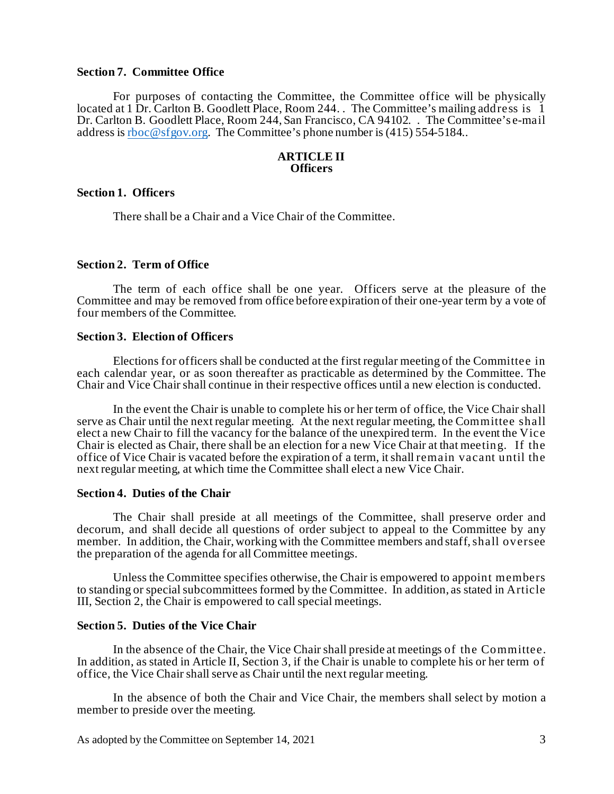# **Section 7. Committee Office**

For purposes of contacting the Committee, the Committee office will be physically located at 1 Dr. Carlton B. Goodlett Place, Room 244. . The Committee's mailing address is 1 Dr. Carlton B. Goodlett Place, Room 244, San Francisco, CA 94102. . The Committee's e-mail address i[s rboc@sfgov.org](mailto:rboc@sfgov.org). The Committee's phone number is (415) 554-5184..

# **ARTICLE II Officers**

# **Section 1. Officers**

There shall be a Chair and a Vice Chair of the Committee.

# **Section 2. Term of Office**

The term of each office shall be one year. Officers serve at the pleasure of the Committee and may be removed from office before expiration of their one-year term by a vote of four members of the Committee.

### **Section 3. Election of Officers**

Elections for officers shall be conducted at the first regular meeting of the Committee in each calendar year, or as soon thereafter as practicable as determined by the Committee. The Chair and Vice Chair shall continue in their respective offices until a new election is conducted.

In the event the Chair is unable to complete his or her term of office, the Vice Chair shall serve as Chair until the next regular meeting. At the next regular meeting, the Committee shall elect a new Chair to fill the vacancy for the balance of the unexpired term. In the event the Vice Chair is elected as Chair, there shall be an election for a new Vice Chair at that meeting. If the office of Vice Chair is vacated before the expiration of a term, it shall remain vacant until the next regular meeting, at which time the Committee shall elect a new Vice Chair.

# **Section 4. Duties of the Chair**

The Chair shall preside at all meetings of the Committee, shall preserve order and decorum, and shall decide all questions of order subject to appeal to the Committee by any member. In addition, the Chair, working with the Committee members and staff, shall oversee the preparation of the agenda for all Committee meetings.

Unless the Committee specifies otherwise, the Chair is empowered to appoint members to standing or special subcommittees formed by the Committee. In addition, as stated in Article III, Section 2, the Chair is empowered to call special meetings.

# **Section 5. Duties of the Vice Chair**

In the absence of the Chair, the Vice Chair shall preside at meetings of the Committee. In addition, as stated in Article II, Section 3, if the Chair is unable to complete his or her term of office, the Vice Chair shall serve as Chair until the next regular meeting.

In the absence of both the Chair and Vice Chair, the members shall select by motion a member to preside over the meeting.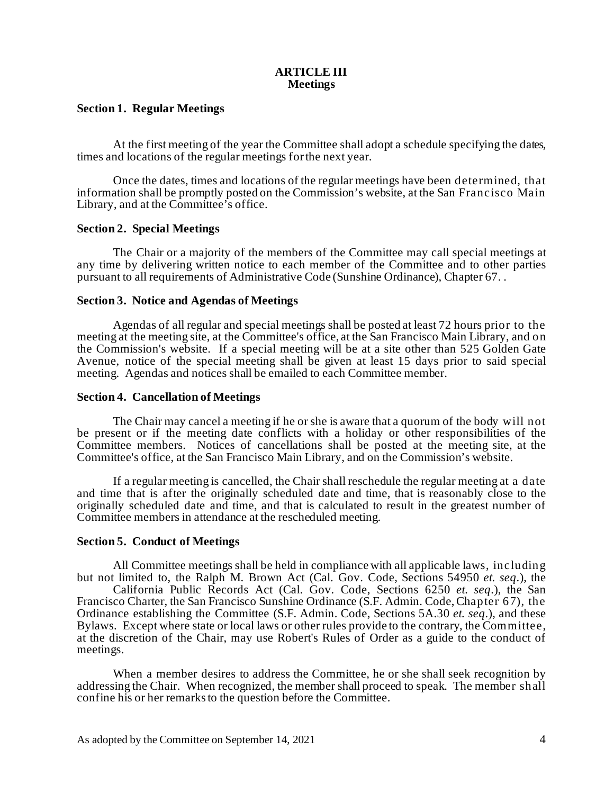# **ARTICLE III Meetings**

# **Section 1. Regular Meetings**

At the first meeting of the year the Committee shall adopt a schedule specifying the dates, times and locations of the regular meetings for the next year.

Once the dates, times and locations of the regular meetings have been determined, that information shall be promptly posted on the Commission's website, at the San Francisco Main Library, and at the Committee's office.

#### **Section 2. Special Meetings**

The Chair or a majority of the members of the Committee may call special meetings at any time by delivering written notice to each member of the Committee and to other parties pursuant to all requirements of Administrative Code (Sunshine Ordinance), Chapter 67. .

# **Section 3. Notice and Agendas of Meetings**

Agendas of all regular and special meetings shall be posted at least 72 hours prior to the meeting at the meeting site, at the Committee's office, at the San Francisco Main Library, and on the Commission's website. If a special meeting will be at a site other than 525 Golden Gate Avenue, notice of the special meeting shall be given at least 15 days prior to said special meeting. Agendas and notices shall be emailed to each Committee member.

# **Section 4. Cancellation of Meetings**

The Chair may cancel a meeting if he or she is aware that a quorum of the body will not be present or if the meeting date conflicts with a holiday or other responsibilities of the Committee members. Notices of cancellations shall be posted at the meeting site, at the Committee's office, at the San Francisco Main Library, and on the Commission's website.

If a regular meeting is cancelled, the Chair shall reschedule the regular meeting at a date and time that is after the originally scheduled date and time, that is reasonably close to the originally scheduled date and time, and that is calculated to result in the greatest number of Committee members in attendance at the rescheduled meeting.

### **Section 5. Conduct of Meetings**

All Committee meetings shall be held in compliance with all applicable laws, including but not limited to, the Ralph M. Brown Act (Cal. Gov. Code, Sections 54950 *et. seq*.), the California Public Records Act (Cal. Gov. Code, Sections 6250 *et. seq*.), the San Francisco Charter, the San Francisco Sunshine Ordinance (S.F. Admin. Code, Chapter 67), the Ordinance establishing the Committee (S.F. Admin. Code, Sections 5A.30 *et. seq*.), and these Bylaws. Except where state or local laws or other rules provide to the contrary, the Committee, at the discretion of the Chair, may use Robert's Rules of Order as a guide to the conduct of meetings.

When a member desires to address the Committee, he or she shall seek recognition by addressing the Chair. When recognized, the member shall proceed to speak. The member shall confine his or her remarks to the question before the Committee.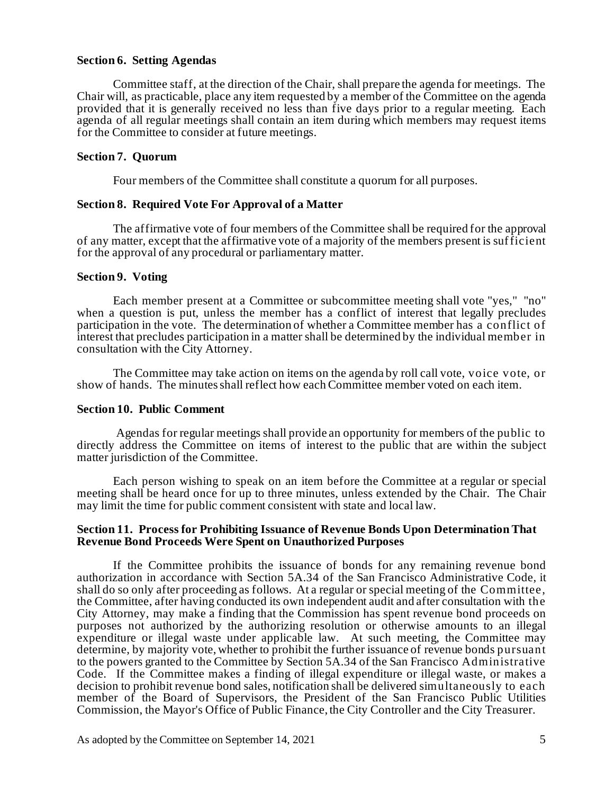# **Section 6. Setting Agendas**

Committee staff, at the direction of the Chair, shall prepare the agenda for meetings. The Chair will, as practicable, place any item requested by a member of the Committee on the agenda provided that it is generally received no less than five days prior to a regular meeting. Each agenda of all regular meetings shall contain an item during which members may request items for the Committee to consider at future meetings.

# **Section 7. Quorum**

Four members of the Committee shall constitute a quorum for all purposes.

# **Section 8. Required Vote For Approval of a Matter**

The affirmative vote of four members of the Committee shall be required for the approval of any matter, except that the affirmative vote of a majority of the members present is sufficient for the approval of any procedural or parliamentary matter.

# **Section 9. Voting**

Each member present at a Committee or subcommittee meeting shall vote "yes," "no" when a question is put, unless the member has a conflict of interest that legally precludes participation in the vote. The determination of whether a Committee member has a conflict of interest that precludes participation in a matter shall be determined by the individual member in consultation with the City Attorney.

The Committee may take action on items on the agenda by roll call vote, voice vote, or show of hands. The minutes shall reflect how each Committee member voted on each item.

#### **Section 10. Public Comment**

Agendas for regular meetings shall provide an opportunity for members of the public to directly address the Committee on items of interest to the public that are within the subject matter jurisdiction of the Committee.

Each person wishing to speak on an item before the Committee at a regular or special meeting shall be heard once for up to three minutes, unless extended by the Chair. The Chair may limit the time for public comment consistent with state and local law.

# **Section 11. Process for Prohibiting Issuance of Revenue Bonds Upon Determination That Revenue Bond Proceeds Were Spent on Unauthorized Purposes**

If the Committee prohibits the issuance of bonds for any remaining revenue bond authorization in accordance with Section 5A.34 of the San Francisco Administrative Code, it shall do so only after proceeding as follows. At a regular or special meeting of the Committee, the Committee, after having conducted its own independent audit and after consultation with the City Attorney, may make a finding that the Commission has spent revenue bond proceeds on purposes not authorized by the authorizing resolution or otherwise amounts to an illegal expenditure or illegal waste under applicable law. At such meeting, the Committee may determine, by majority vote, whether to prohibit the further issuance of revenue bonds pursuant to the powers granted to the Committee by Section 5A.34 of the San Francisco Administrative Code. If the Committee makes a finding of illegal expenditure or illegal waste, or makes a decision to prohibit revenue bond sales, notification shall be delivered simultaneously to each member of the Board of Supervisors, the President of the San Francisco Public Utilities Commission, the Mayor's Office of Public Finance, the City Controller and the City Treasurer.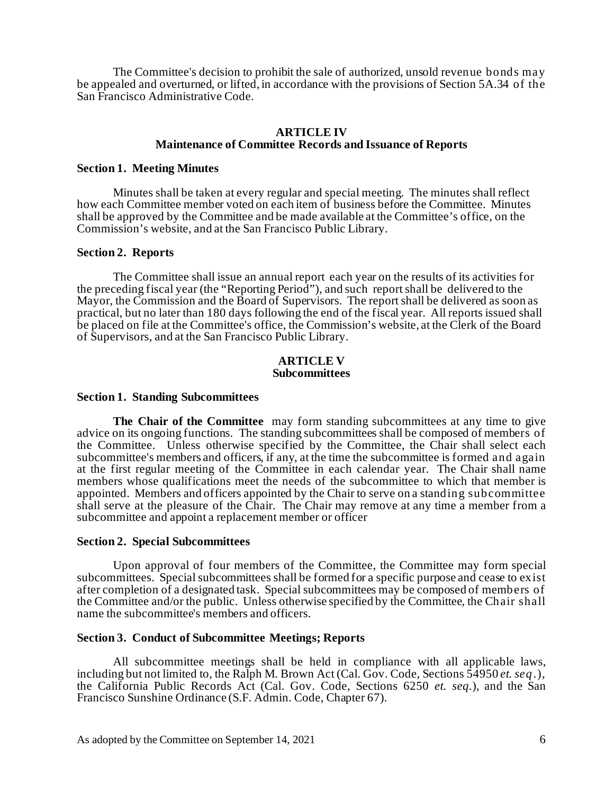The Committee's decision to prohibit the sale of authorized, unsold revenue bonds may be appealed and overturned, or lifted, in accordance with the provisions of Section 5A.34 of the San Francisco Administrative Code.

# **ARTICLE IV Maintenance of Committee Records and Issuance of Reports**

### **Section 1. Meeting Minutes**

Minutes shall be taken at every regular and special meeting. The minutes shall reflect how each Committee member voted on each item of business before the Committee. Minutes shall be approved by the Committee and be made available at the Committee's office, on the Commission's website, and at the San Francisco Public Library.

# **Section 2. Reports**

The Committee shall issue an annual report each year on the results of its activities for the preceding fiscal year (the "Reporting Period"), and such report shall be delivered to the Mayor, the Commission and the Board of Supervisors. The report shall be delivered as soon as practical, but no later than 180 days following the end of the fiscal year. All reports issued shall be placed on file at the Committee's office, the Commission's website, at the Clerk of the Board of Supervisors, and at the San Francisco Public Library.

#### **ARTICLE V Subcommittees**

#### **Section 1. Standing Subcommittees**

**The Chair of the Committee** may form standing subcommittees at any time to give advice on its ongoing functions. The standing subcommittees shall be composed of members of the Committee. Unless otherwise specified by the Committee, the Chair shall select each subcommittee's members and officers, if any, at the time the subcommittee is formed and again at the first regular meeting of the Committee in each calendar year. The Chair shall name members whose qualifications meet the needs of the subcommittee to which that member is appointed. Members and officers appointed by the Chair to serve on a standing subcommittee shall serve at the pleasure of the Chair. The Chair may remove at any time a member from a subcommittee and appoint a replacement member or officer

#### **Section 2. Special Subcommittees**

Upon approval of four members of the Committee, the Committee may form special subcommittees. Special subcommittees shall be formed for a specific purpose and cease to exist after completion of a designated task. Special subcommittees may be composed of members of the Committee and/or the public. Unless otherwise specified by the Committee, the Chair shall name the subcommittee's members and officers.

#### **Section 3. Conduct of Subcommittee Meetings; Reports**

All subcommittee meetings shall be held in compliance with all applicable laws, including but not limited to, the Ralph M. Brown Act (Cal. Gov. Code, Sections 54950 *et. seq.*), the California Public Records Act (Cal. Gov. Code, Sections 6250 *et. seq.*), and the San Francisco Sunshine Ordinance (S.F. Admin. Code, Chapter 67).